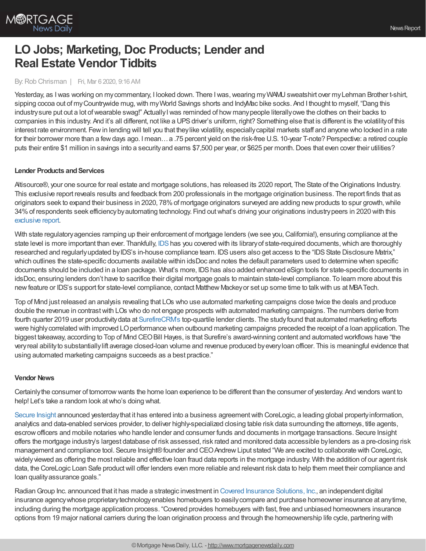

# **LO Jobs; Marketing, Doc Products; Lender and Real Estate Vendor Tidbits**

#### By:Rob Chrisman | Fri, Mar 6 2020, 9:16 AM

Yesterday, as I was working on my commentary, I looked down. There I was, wearing my WAMU sweatshirt over my Lehman Brother t-shirt, sipping cocoa out of my Countrywide mug, with my World Savings shorts and IndyMac bike socks. And I thought to myself, "Dang this industry sure put out a lot of wearable swag!" Actually I was reminded of how many people literally owe the clothes on their backs to companies in this industry. And it's all different, not like a UPS driver's uniform, right? Something else that is different is the volatility of this interest rate environment. Fewin lending will tell you that theylike volatility, especiallycapital markets staff and anyone who locked in a rate for their borrower more than a fewdays ago. I mean…a .75 percent yield on the risk-free U.S. 10-year T-note? Perspective: a retired couple puts their entire \$1 million in savings into a security and earns \$7,500 per year, or \$625 per month. Does that even cover their utilities?

### **Lender Products and Services**

Altisource®, your one source for real estate and mortgage solutions, has released its 2020 report, The State of the Originations Industry. This exclusive report reveals results and feedback from 200 professionals in the mortgage origination business. The report finds that as originators seek to expand their business in 2020, 78% of mortgage originators surveyed are adding new products to spur growth, while 34%of respondents seek efficiencybyautomating technology. Find outwhat's driving your originations industrypeers in 2020 with this [exclusive](https://pages.altisource.com/2020-State-of-Originations-Report_LPform.html?utm_source=rob%20chrisman&utm_medium=display&utm_campaign=200127-DGA-AS-2020OriginationsReport&utm_content=report) report.

With state regulatory agencies ramping up their enforcement of mortgage lenders (we see you, California!), ensuring compliance at the state level is more important than ever. Thankfully, [IDS](http://www.idsdoc.com/) has you covered with its library of state-required documents, which are thoroughly researched and regularly updated by IDS's in-house compliance team. IDS users also get access to the "IDS State Disclosure Matrix," which outlines the state-specific documents available within idsDoc and notes the default parameters used to determine when specific documents should be included in a loan package. What's more, IDS has also added enhanced eSign tools for state-specific documents in idsDoc, ensuring lenders don't have to sacrifice their digital mortgage goals to maintain state-level compliance. To learn more about this newfeature or IDS's support for state-level compliance, contact Matthew Mackeyor set up some time to talkwith us at MBATech.

Top of Mind just released an analysis revealing that LOs who use automated marketing campaigns close twice the deals and produce double the revenue in contrastwith LOs who do not engage prospects with automated marketing campaigns. The numbers derive from fourth quarter 2019 user productivitydata at [SurefireCRM's](http://topofmind.com/) top-quartile lender clients. The studyfound that automated marketing efforts were highly correlated with improved LO performance when outbound marketing campaigns preceded the receipt of a loan application. The biggest takeaway, according to Top of Mnd CEO Bill Hayes, is that Surefire's award-winning content and automated workflows have "the veryreal abilityto substantiallylift average closed-loan volume and revenue produced byeveryloan officer. This is meaningful evidence that using automated marketing campaigns succeeds as a best practice."

### **Vendor News**

Certainlythe consumer of tomorrowwants the home loan experience to be different than the consumer of yesterday. And vendors want to help! Let's take a random look at who's doing what.

[Secure](https://secureinsight.com/) Insight announced yesterday that it has entered into a business agreement with CoreLogic, a leading global property information, analytics and data-enabled services provider, to deliver highly-specialized closing table risk data surrounding the attorneys, title agents, escrowofficers and mobile notaries who handle lender and consumer funds and documents in mortgage transactions. Secure Insight offers the mortgage industry's largest database of risk assessed, risk rated and monitored data accessible bylenders as a pre-closing risk management and compliance tool. Secure Insight® founder and CEO Andrew Liput stated "We are excited to collaborate with CoreLogic, widelyviewed as offering the most reliable and effective loan fraud data reports in the mortgage industry. With the addition of our agent risk data, the CoreLogic Loan Safe productwill offer lenders even more reliable and relevant risk data to help them meet their compliance and loan quality assurance goals."

Radian Group Inc. announced that it has made a strategic investment in Covered Insurance [Solutions,](https://www.itscovered.com/) Inc., an independent digital insurance agencywhose proprietarytechnologyenables homebuyers to easilycompare and purchase homeowner insurance at anytime, including during the mortgage application process. "Covered provides homebuyers with fast, free and unbiased homeowners insurance options from 19 major national carriers during the loan origination process and through the homeownership life cycle, partnering with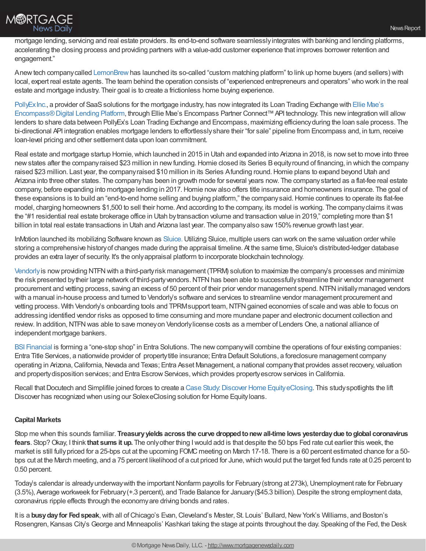

mortgage lending, servicing and real estate providers. Its end-to-end software seamlesslyintegrates with banking and lending platforms, accelerating the closing process and providing partners with a value-add customer experience that improves borrower retention and engagement."

Anewtech companycalled [LemonBrew](https://www.lemonbrew.com/)has launched its so-called "custom matching platform" to link up home buyers (and sellers) with local, expert real estate agents. The team behind the operation consists of "experienced entrepreneurs and operators" who work in the real estate and mortgage industry. Their goal is to create a frictionless home buying experience.

PollyEx Inc., a provider of SaaS solutions for the mortgage industry, has now integrated its Loan Trading Exchange with Ellie Mae's [Encompass®Digital](https://www.elliemae.com/encompass/encompass-digital-lending-platform) Lending Platform, through Ellie Mae's Encompass Partner Connect™API technology. This newintegration will allow lenders to share data between PollyEx's Loan Trading Exchange and Encompass, maximizing efficiency during the loan sale process. The bi-directional API integration enables mortgage lenders to effortlesslyshare their "for sale" pipeline from Encompass and, in turn, receive loan-level pricing and other settlement data upon loan commitment.

Real estate and mortgage startup Homie,which launched in 2015 in Utah and expanded into Arizona in 2018, is nowset to move into three new states after the company raised \$23 million in new funding. Homie closed its Series B equity round of financing, in which the company raised \$23 million. Last year, the company raised \$10 million in its Series Afunding round. Homie plans to expand beyond Utah and Arizona into three other states. The companyhas been in growth mode for several years now. The companystarted as a flat-fee real estate company, before expanding into mortgage lending in 2017. Homie now also offers title insurance and homeowners insurance. The goal of these expansions is to build an "end-to-end home selling and buying platform," the companysaid.Homie continues to operate its flat-fee model, charging homeowners \$1,500 to sell their home. And according to the company, its model is working. The companyclaims itwas the "#1 residential real estate brokerage office in Utah bytransaction volume and transaction value in 2019," completing more than \$1 billion in total real estate transactions in Utah and Arizona last year. The companyalso saw 150% revenue growth last year.

InMotion launched its mobilizing Software known as [Sluice.](https://strategicvantage.com/inmotion-software-mobilizes-appraisal-industry-with-sluice) Utilizing Sluice, multiple users can work on the same valuation order while storing a comprehensive historyof changes made during the appraisal timeline. At the same time, Sluice's distributed-ledger database provides an extra layer of security. It's the onlyappraisal platform to incorporate blockchain technology.

[Vendorly](https://www.vendorly.com/) is now providing NTFN with a third-party risk management (TPRM) solution to maximize the company's processes and minimize the risk presented by their large network of third-party vendors. NTFN has been able to successfully streamline their vendor management procurement and vetting process, saving an excess of 50 percent of their prior vendor management spend. NTFN initially managed vendors with a manual in-house process and turned to Vendorly's software and services to streamline vendor management procurement and vetting process. With Vendorly's onboarding tools and TPRM support team, NTFN gained economies of scale and was able to focus on addressing identified vendor risks as opposed to time consuming and more mundane paper and electronic document collection and review. In addition, NTFN was able to save money on Vendorly license costs as a member of Lenders One, a national alliance of independent mortgage bankers.

BSI [Financial](https://www.bsifinancial.com/insidebsi_espl.aspx) is forming a "one-stop shop" in Entra Solutions. The new company will combine the operations of four existing companies: Entra Title Services, a nationwide provider of propertytitle insurance; Entra Default Solutions, a foreclosure management company operating in Arizona,California,Nevada and Texas; Entra Asset Management, a national companythat provides asset recovery, valuation and property disposition services; and Entra Escrow Services, which provides property escrow services in California.

Recall that Docutech and Simplifile joined forces to create a Case Study. Discover Home Equity eClosing. This study spotlights the lift Discover has recognized when using our SolexeClosing solution for Home Equityloans.

### **Capital Markets**

Stop me when this sounds familiar. **Treasuryyields across the curve droppedtonew all-time lows yesterdaydue toglobal coronavirus fears**. Stop?Okay, I think **that sums it up.** The onlyother thing Iwould add is that despite the 50 bps Fed rate cut earlier this week, the market is still fullypriced for a 25-bps cut at the upcoming FOMC meeting on March 17-18. There is a 60 percent estimated chance for a 50 bps cut at the March meeting, and a 75 percent likelihood of a cut priced for June, which would put the target fed funds rate at 0.25 percent to 0.50 percent.

Today's calendar is already underway with the important Nonfarm payrolls for February (strong at 273k), Unemployment rate for February (3.5%), Average workweek for February(+.3 percent), and Trade Balance for January(\$45.3 billion).Despite the strong employment data, coronavirus ripple effects through the economyare driving bonds and rates.

It is a **busy day for Fed speak**, with all of Chicago's Evan, Cleveland's Mester, St. Louis' Bullard, New York's Williams, and Boston's Rosengren, Kansas City's George and Minneapolis' Kashkari taking the stage at points throughout the day. Speaking of the Fed, the Desk